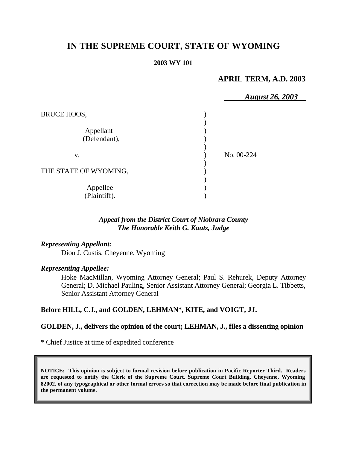# **IN THE SUPREME COURT, STATE OF WYOMING**

#### **2003 WY 101**

# **APRIL TERM, A.D. 2003**

|                           | <b>August 26, 2003</b> |
|---------------------------|------------------------|
| BRUCE HOOS,               |                        |
| Appellant<br>(Defendant), |                        |
| V.                        | No. 00-224             |
| THE STATE OF WYOMING,     |                        |
| Appellee<br>(Plaintiff).  |                        |

## *Appeal from the District Court of Niobrara County The Honorable Keith G. Kautz, Judge*

### *Representing Appellant:*

Dion J. Custis, Cheyenne, Wyoming

#### *Representing Appellee:*

Hoke MacMillan, Wyoming Attorney General; Paul S. Rehurek, Deputy Attorney General; D. Michael Pauling, Senior Assistant Attorney General; Georgia L. Tibbetts, Senior Assistant Attorney General

# **Before HILL, C.J., and GOLDEN, LEHMAN\*, KITE, and VOIGT, JJ.**

#### **GOLDEN, J., delivers the opinion of the court; LEHMAN, J., files a dissenting opinion**

\* Chief Justice at time of expedited conference

**NOTICE: This opinion is subject to formal revision before publication in Pacific Reporter Third. Readers are requested to notify the Clerk of the Supreme Court, Supreme Court Building, Cheyenne, Wyoming 82002, of any typographical or other formal errors so that correction may be made before final publication in the permanent volume.**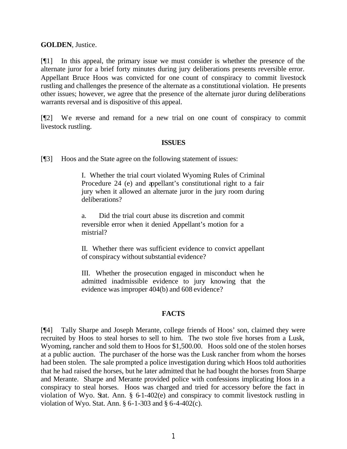#### **GOLDEN**, Justice.

[¶1] In this appeal, the primary issue we must consider is whether the presence of the alternate juror for a brief forty minutes during jury deliberations presents reversible error. Appellant Bruce Hoos was convicted for one count of conspiracy to commit livestock rustling and challenges the presence of the alternate as a constitutional violation. He presents other issues; however, we agree that the presence of the alternate juror during deliberations warrants reversal and is dispositive of this appeal.

[¶2] We reverse and remand for a new trial on one count of conspiracy to commit livestock rustling.

#### **ISSUES**

[¶3] Hoos and the State agree on the following statement of issues:

I. Whether the trial court violated Wyoming Rules of Criminal Procedure 24 (e) and appellant's constitutional right to a fair jury when it allowed an alternate juror in the jury room during deliberations?

a. Did the trial court abuse its discretion and commit reversible error when it denied Appellant's motion for a mistrial?

II. Whether there was sufficient evidence to convict appellant of conspiracy without substantial evidence?

III. Whether the prosecution engaged in misconduct when he admitted inadmissible evidence to jury knowing that the evidence was improper 404(b) and 608 evidence?

### **FACTS**

[¶4] Tally Sharpe and Joseph Merante, college friends of Hoos' son, claimed they were recruited by Hoos to steal horses to sell to him. The two stole five horses from a Lusk, Wyoming, rancher and sold them to Hoos for \$1,500.00. Hoos sold one of the stolen horses at a public auction. The purchaser of the horse was the Lusk rancher from whom the horses had been stolen. The sale prompted a police investigation during which Hoos told authorities that he had raised the horses, but he later admitted that he had bought the horses from Sharpe and Merante. Sharpe and Merante provided police with confessions implicating Hoos in a conspiracy to steal horses. Hoos was charged and tried for accessory before the fact in violation of Wyo. Stat. Ann. § 6-1-402(e) and conspiracy to commit livestock rustling in violation of Wyo. Stat. Ann. § 6-1-303 and § 6-4-402(c).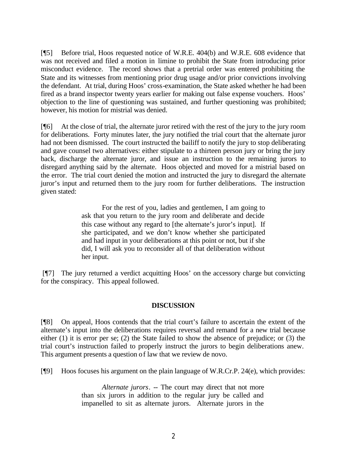[¶5] Before trial, Hoos requested notice of W.R.E. 404(b) and W.R.E. 608 evidence that was not received and filed a motion in limine to prohibit the State from introducing prior misconduct evidence. The record shows that a pretrial order was entered prohibiting the State and its witnesses from mentioning prior drug usage and/or prior convictions involving the defendant. At trial, during Hoos' cross-examination, the State asked whether he had been fired as a brand inspector twenty years earlier for making out false expense vouchers. Hoos' objection to the line of questioning was sustained, and further questioning was prohibited; however, his motion for mistrial was denied.

[¶6] At the close of trial, the alternate juror retired with the rest of the jury to the jury room for deliberations. Forty minutes later, the jury notified the trial court that the alternate juror had not been dismissed. The court instructed the bailiff to notify the jury to stop deliberating and gave counsel two alternatives: either stipulate to a thirteen person jury or bring the jury back, discharge the alternate juror, and issue an instruction to the remaining jurors to disregard anything said by the alternate. Hoos objected and moved for a mistrial based on the error. The trial court denied the motion and instructed the jury to disregard the alternate juror's input and returned them to the jury room for further deliberations. The instruction given stated:

> For the rest of you, ladies and gentlemen, I am going to ask that you return to the jury room and deliberate and decide this case without any regard to [the alternate's juror's input]. If she participated, and we don't know whether she participated and had input in your deliberations at this point or not, but if she did, I will ask you to reconsider all of that deliberation without her input.

[¶7] The jury returned a verdict acquitting Hoos' on the accessory charge but convicting for the conspiracy. This appeal followed.

### **DISCUSSION**

[¶8] On appeal, Hoos contends that the trial court's failure to ascertain the extent of the alternate's input into the deliberations requires reversal and remand for a new trial because either (1) it is error per se; (2) the State failed to show the absence of prejudice; or (3) the trial court's instruction failed to properly instruct the jurors to begin deliberations anew. This argument presents a question of law that we review de novo.

[¶9] Hoos focuses his argument on the plain language of W.R.Cr.P. 24(e), which provides:

*Alternate jurors*. -- The court may direct that not more than six jurors in addition to the regular jury be called and impanelled to sit as alternate jurors. Alternate jurors in the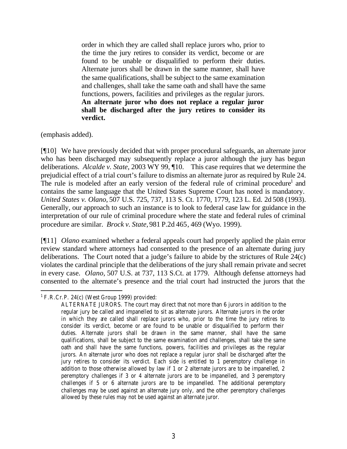order in which they are called shall replace jurors who, prior to the time the jury retires to consider its verdict, become or are found to be unable or disqualified to perform their duties. Alternate jurors shall be drawn in the same manner, shall have the same qualifications, shall be subject to the same examination and challenges, shall take the same oath and shall have the same functions, powers, facilities and privileges as the regular jurors. **An alternate juror who does not replace a regular juror shall be discharged after the jury retires to consider its verdict.**

(emphasis added).

[¶10] We have previously decided that with proper procedural safeguards, an alternate juror who has been discharged may subsequently replace a juror although the jury has begun deliberations. *Alcalde v. State,* 2003 WY 99, ¶10. This case requires that we determine the prejudicial effect of a trial court's failure to dismiss an alternate juror as required by Rule 24. The rule is modeled after an early version of the federal rule of criminal procedure<sup>1</sup> and contains the same language that the United States Supreme Court has noted is mandatory. *United States v. Olano,* 507 U.S. 725, 737, 113 S. Ct. 1770, 1779, 123 L. Ed. 2d 508 (1993). Generally, our approach to such an instance is to look to federal case law for guidance in the interpretation of our rule of criminal procedure where the state and federal rules of criminal procedure are similar. *Brock v. State,* 981 P.2d 465, 469 (Wyo. 1999).

[¶11] *Olano* examined whether a federal appeals court had properly applied the plain error review standard where attorneys had consented to the presence of an alternate during jury deliberations. The Court noted that a judge's failure to abide by the strictures of Rule 24(c) violates the cardinal principle that the deliberations of the jury shall remain private and secret in every case. *Olano,* 507 U.S. at 737, 113 S.Ct. at 1779. Although defense attorneys had consented to the alternate's presence and the trial court had instructed the jurors that the

 1 F.R.Cr.P. 24(c) (West Group 1999) provided:

ALTERNATE JURORS. The court may direct that not more than 6 jurors in addition to the regular jury be called and impanelled to sit as alternate jurors. Alternate jurors in the order in which they are called shall replace jurors who, prior to the time the jury retires to consider its verdict, become or are found to be unable or disqualified to perform their duties. Alternate jurors shall be drawn in the same manner, shall have the same qualifications, shall be subject to the same examination and challenges, shall take the same oath and shall have the same functions, powers, facilities and privileges as the regular jurors. An alternate juror who does not replace a regular juror shall be discharged after the jury retires to consider its verdict. Each side is entitled to 1 peremptory challenge in addition to those otherwise allowed by law if 1 or 2 alternate jurors are to be impanelled, 2 peremptory challenges if 3 or 4 alternate jurors are to be impanelled, and 3 peremptory challenges if 5 or 6 alternate jurors are to be impanelled. The additional peremptory challenges may be used against an alternate jury only, and the other peremptory challenges allowed by these rules may not be used against an alternate juror.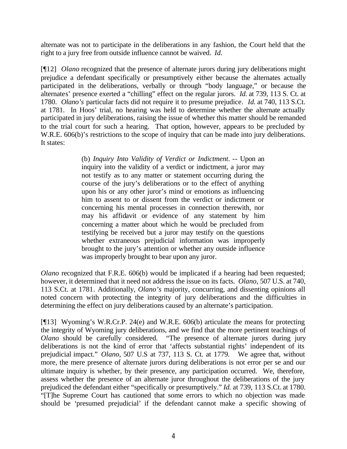alternate was not to participate in the deliberations in any fashion, the Court held that the right to a jury free from outside influence cannot be waived. *Id.*

[¶12] *Olano* recognized that the presence of alternate jurors during jury deliberations might prejudice a defendant specifically or presumptively either because the alternates actually participated in the deliberations, verbally or through "body language," or because the alternates' presence exerted a "chilling" effect on the regular jurors. *Id.* at 739, 113 S. Ct. at 1780. *Olano's* particular facts did not require it to presume prejudice*. Id.* at 740, 113 S.Ct. at 1781. In Hoos' trial, no hearing was held to determine whether the alternate actually participated in jury deliberations, raising the issue of whether this matter should be remanded to the trial court for such a hearing. That option, however, appears to be precluded by W.R.E.  $606(b)$ 's restrictions to the scope of inquiry that can be made into jury deliberations. It states:

> (b) *Inquiry Into Validity of Verdict or Indictment*. -- Upon an inquiry into the validity of a verdict or indictment, a juror may not testify as to any matter or statement occurring during the course of the jury's deliberations or to the effect of anything upon his or any other juror's mind or emotions as influencing him to assent to or dissent from the verdict or indictment or concerning his mental processes in connection therewith, nor may his affidavit or evidence of any statement by him concerning a matter about which he would be precluded from testifying be received but a juror may testify on the questions whether extraneous prejudicial information was improperly brought to the jury's attention or whether any outside influence was improperly brought to bear upon any juror.

*Olano* recognized that F.R.E. 606(b) would be implicated if a hearing had been requested; however, it determined that it need not address the issue on its facts. *Olano,* 507 U.S. at 740, 113 S.Ct. at 1781*.* Additionally, *Olano's* majority, concurring, and dissenting opinions all noted concern with protecting the integrity of jury deliberations and the difficulties in determining the effect on jury deliberations caused by an alternate's participation.

[¶13] Wyoming's W.R.Cr.P. 24(e) and W.R.E. 606(b) articulate the means for protecting the integrity of Wyoming jury deliberations, and we find that the more pertinent teachings of *Olano* should be carefully considered. "The presence of alternate jurors during jury deliberations is not the kind of error that 'affects substantial rights' independent of its prejudicial impact." *Olano,* 507 U.S at 737, 113 S. Ct. at 1779. We agree that, without more, the mere presence of alternate jurors during deliberations is not error per se and our ultimate inquiry is whether, by their presence, any participation occurred. We, therefore, assess whether the presence of an alternate juror throughout the deliberations of the jury prejudiced the defendant either "specifically or presumptively." *Id.* at 739, 113 S.Ct. at 1780. "[T]he Supreme Court has cautioned that some errors to which no objection was made should be 'presumed prejudicial' if the defendant cannot make a specific showing of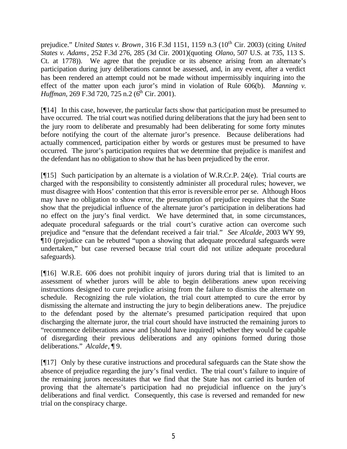prejudice." *United States v. Brown*, 316 F.3d 1151, 1159 n.3 (10<sup>th</sup> Cir. 2003) (citing *United States v. Adams*, 252 F.3d 276, 285 (3d Cir. 2001)(quoting *Olano,* 507 U.S. at 735, 113 S. Ct. at 1778)). We agree that the prejudice or its absence arising from an alternate's participation during jury deliberations cannot be assessed, and, in any event, after a verdict has been rendered an attempt could not be made without impermissibly inquiring into the effect of the matter upon each juror's mind in violation of Rule 606(b). *Manning v. Huffman, 269 F.3d 720, 725 n.2 (6<sup>th</sup> Cir. 2001).* 

[¶14] In this case, however, the particular facts show that participation must be presumed to have occurred. The trial court was notified during deliberations that the jury had been sent to the jury room to deliberate and presumably had been deliberating for some forty minutes before notifying the court of the alternate juror's presence. Because deliberations had actually commenced, participation either by words or gestures must be presumed to have occurred. The juror's participation requires that we determine that prejudice is manifest and the defendant has no obligation to show that he has been prejudiced by the error.

[¶15] Such participation by an alternate is a violation of W.R.Cr.P. 24(e). Trial courts are charged with the responsibility to consistently administer all procedural rules; however, we must disagree with Hoos' contention that this error is reversible error per se. Although Hoos may have no obligation to show error, the presumption of prejudice requires that the State show that the prejudicial influence of the alternate juror's participation in deliberations had no effect on the jury's final verdict. We have determined that, in some circumstances, adequate procedural safeguards or the trial court's curative action can overcome such prejudice and "ensure that the defendant received a fair trial." *See Alcalde*, 2003 WY 99, ¶10 (prejudice can be rebutted "upon a showing that adequate procedural safeguards were undertaken," but case reversed because trial court did not utilize adequate procedural safeguards).

[¶16] W.R.E. 606 does not prohibit inquiry of jurors during trial that is limited to an assessment of whether jurors will be able to begin deliberations anew upon receiving instructions designed to cure prejudice arising from the failure to dismiss the alternate on schedule. Recognizing the rule violation, the trial court attempted to cure the error by dismissing the alternate and instructing the jury to begin deliberations anew. The prejudice to the defendant posed by the alternate's presumed participation required that upon discharging the alternate juror, the trial court should have instructed the remaining jurors to "recommence deliberations anew and [should have inquired] whether they would be capable of disregarding their previous deliberations and any opinions formed during those deliberations." *Alcalde*, ¶ 9.

[¶17] Only by these curative instructions and procedural safeguards can the State show the absence of prejudice regarding the jury's final verdict. The trial court's failure to inquire of the remaining jurors necessitates that we find that the State has not carried its burden of proving that the alternate's participation had no prejudicial influence on the jury's deliberations and final verdict. Consequently, this case is reversed and remanded for new trial on the conspiracy charge.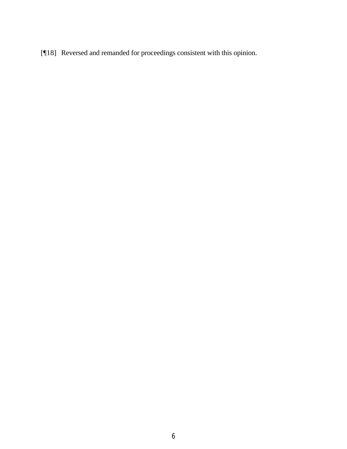[¶18] Reversed and remanded for proceedings consistent with this opinion.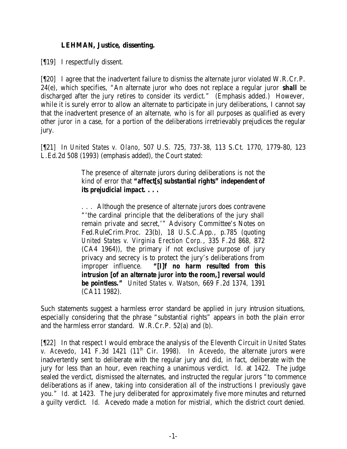# **LEHMAN, Justice, dissenting.**

[¶19] I respectfully dissent.

[¶20] I agree that the inadvertent failure to dismiss the alternate juror violated W.R.Cr.P. 24(e), which specifies, "An alternate juror who does not replace a regular juror *shall* be discharged after the jury retires to consider its verdict." (Emphasis added.) However, while it is surely error to allow an alternate to participate in jury deliberations, I cannot say that the inadvertent presence of an alternate, who is for all purposes as qualified as every other juror in a case, for a portion of the deliberations irretrievably prejudices the regular jury.

[¶21] In *United States v. Olano*, 507 U.S. 725, 737-38, 113 S.Ct. 1770, 1779-80, 123 L.Ed.2d 508 (1993) (emphasis added), the Court stated:

> The presence of alternate jurors during deliberations is not the kind of error that *"affect[s] substantial rights" independent of its prejudicial impact. . . .*

> . . . Although the presence of alternate jurors does contravene "'the cardinal principle that the deliberations of the jury shall remain private and secret,'" Advisory Committee's Notes on Fed.RuleCrim.Proc. 23(b), 18 U.S.C.App., p.785 (quoting *United States v. Virginia Erection Corp.*, 335 F.2d 868, 872 (CA4 1964)), the primary if not exclusive purpose of jury privacy and secrecy is to protect the jury's deliberations from improper influence. *"[I]f no harm resulted from this intrusion [of an alternate juror into the room,] reversal would be pointless." United States v. Watson*, 669 F.2d 1374, 1391 (CA11 1982).

Such statements suggest a harmless error standard be applied in jury intrusion situations, especially considering that the phrase "substantial rights" appears in both the plain error and the harmless error standard. W.R.Cr.P. 52(a) and (b).

[¶22] In that respect I would embrace the analysis of the Eleventh Circuit in *United States v. Acevedo*, 141 F.3d 1421 (11<sup>th</sup> Cir. 1998). In *Acevedo*, the alternate jurors were inadvertently sent to deliberate with the regular jury and did, in fact, deliberate with the jury for less than an hour, even reaching a unanimous verdict. *Id.* at 1422. The judge sealed the verdict, dismissed the alternates, and instructed the regular jurors "to commence deliberations as if anew, taking into consideration all of the instructions I previously gave you." *Id.* at 1423. The jury deliberated for approximately five more minutes and returned a guilty verdict. *Id.* Acevedo made a motion for mistrial, which the district court denied.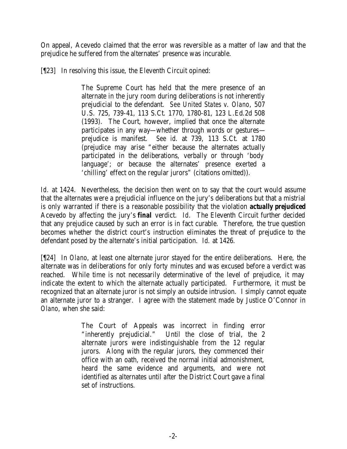On appeal, Acevedo claimed that the error was reversible as a matter of law and that the prejudice he suffered from the alternates' presence was incurable.

[¶23] In resolving this issue, the Eleventh Circuit opined:

The Supreme Court has held that the mere presence of an alternate in the jury room during deliberations is not inherently prejudicial to the defendant. *See United States v. Olano*, 507 U.S. 725, 739-41, 113 S.Ct. 1770, 1780-81, 123 L.Ed.2d 508 (1993). The Court, however, implied that once the alternate participates in any way—whether through words or gestures prejudice is manifest. *See id.* at 739, 113 S.Ct. at 1780 (prejudice may arise "either because the alternates actually participated in the deliberations, verbally or through 'body language'; or because the alternates' presence exerted a 'chilling' effect on the regular jurors" (citations omitted)).

Id. at 1424. Nevertheless, the decision then went on to say that the court would assume that the alternates were a prejudicial influence on the jury's deliberations but that a mistrial is only warranted if there is a reasonable possibility that the violation *actually prejudiced*  Acevedo by affecting the jury's *final* verdict. *Id.* The Eleventh Circuit further decided that any prejudice caused by such an error is in fact curable. Therefore, the true question becomes whether the district court's instruction eliminates the threat of prejudice to the defendant posed by the alternate's initial participation. *Id.* at 1426.

[¶24] In *Olano*, at least one alternate juror stayed for the entire deliberations. Here, the alternate was in deliberations for only forty minutes and was excused before a verdict was reached. While time is not necessarily determinative of the level of prejudice, it may indicate the extent to which the alternate actually participated. Furthermore, it must be recognized that an alternate juror is not simply an outside intrusion. I simply cannot equate an alternate juror to a stranger. I agree with the statement made by Justice O'Connor in *Olano*, when she said:

> The Court of Appeals was incorrect in finding error "inherently prejudicial." Until the close of trial, the 2 alternate jurors were indistinguishable from the 12 regular jurors. Along with the regular jurors, they commenced their office with an oath, received the normal initial admonishment, heard the same evidence and arguments, and were not identified as alternates until *after* the District Court gave a final set of instructions.